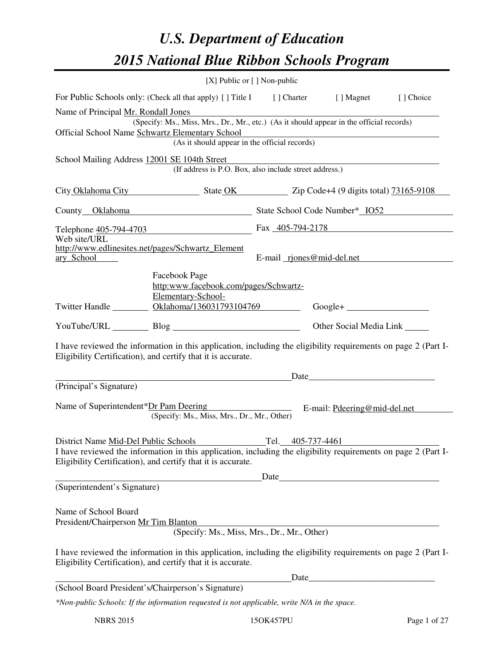# *U.S. Department of Education 2015 National Blue Ribbon Schools Program*

|                                                                        | [X] Public or [] Non-public                                                                                                                                                                                                                     |                           |                               |  |  |
|------------------------------------------------------------------------|-------------------------------------------------------------------------------------------------------------------------------------------------------------------------------------------------------------------------------------------------|---------------------------|-------------------------------|--|--|
|                                                                        | For Public Schools only: (Check all that apply) [ ] Title I [ ] Charter [ ] Magnet [ ] Choice                                                                                                                                                   |                           |                               |  |  |
| Name of Principal Mr. Rondall Jones                                    | (Specify: Ms., Miss, Mrs., Dr., Mr., etc.) (As it should appear in the official records)                                                                                                                                                        |                           |                               |  |  |
| Official School Name Schwartz Elementary School                        | Elementary School<br>(As it should appear in the official records)                                                                                                                                                                              |                           |                               |  |  |
| School Mailing Address 12001 SE 104th Street                           | (If address is P.O. Box, also include street address.)                                                                                                                                                                                          |                           |                               |  |  |
|                                                                        | City Oklahoma City State OK Zip Code+4 (9 digits total) 73165-9108                                                                                                                                                                              |                           |                               |  |  |
|                                                                        | County Oklahoma State School Code Number* IO52                                                                                                                                                                                                  |                           |                               |  |  |
| Web site/URL                                                           | Telephone $\frac{405 - 794 - 4703}{405 - 794 - 2178}$ Fax $\frac{405 - 794 - 2178}{405 - 794 - 2178}$                                                                                                                                           |                           |                               |  |  |
| http://www.edlinesites.net/pages/Schwartz Element<br><u>ary School</u> |                                                                                                                                                                                                                                                 | E-mail riones@mid-del.net |                               |  |  |
|                                                                        | Facebook Page<br>http:www.facebook.com/pages/Schwartz-<br>Elementary-School-<br>Twitter Handle ___________ Oklahoma/136031793104769                                                                                                             |                           |                               |  |  |
|                                                                        |                                                                                                                                                                                                                                                 |                           | Other Social Media Link _____ |  |  |
|                                                                        | I have reviewed the information in this application, including the eligibility requirements on page 2 (Part I-<br>Eligibility Certification), and certify that it is accurate.                                                                  |                           |                               |  |  |
|                                                                        |                                                                                                                                                                                                                                                 |                           |                               |  |  |
| (Principal's Signature)                                                |                                                                                                                                                                                                                                                 |                           |                               |  |  |
|                                                                        | Name of Superintendent*Dr Pam Deering E-mail: Pdeering@mid-del.net<br>(Specify: Ms., Miss, Mrs., Dr., Mr., Other)                                                                                                                               |                           |                               |  |  |
|                                                                        |                                                                                                                                                                                                                                                 |                           |                               |  |  |
|                                                                        | District Name <u>Mid-Del Public Schools</u> Tel. 405-737-4461<br>I have reviewed the information in this application, including the eligibility requirements on page 2 (Part I-<br>Eligibility Certification), and certify that it is accurate. |                           |                               |  |  |
|                                                                        |                                                                                                                                                                                                                                                 |                           |                               |  |  |
| (Superintendent's Signature)                                           |                                                                                                                                                                                                                                                 |                           |                               |  |  |
| Name of School Board<br>President/Chairperson Mr Tim Blanton           | Blanton<br>(Specify: Ms., Miss, Mrs., Dr., Mr., Other)                                                                                                                                                                                          |                           |                               |  |  |
|                                                                        | I have reviewed the information in this application, including the eligibility requirements on page 2 (Part I-<br>Eligibility Certification), and certify that it is accurate.                                                                  |                           |                               |  |  |
|                                                                        |                                                                                                                                                                                                                                                 |                           |                               |  |  |
| (School Board President's/Chairperson's Signature)                     |                                                                                                                                                                                                                                                 |                           |                               |  |  |
|                                                                        | *Non-public Schools: If the information requested is not applicable, write N/A in the space.                                                                                                                                                    |                           |                               |  |  |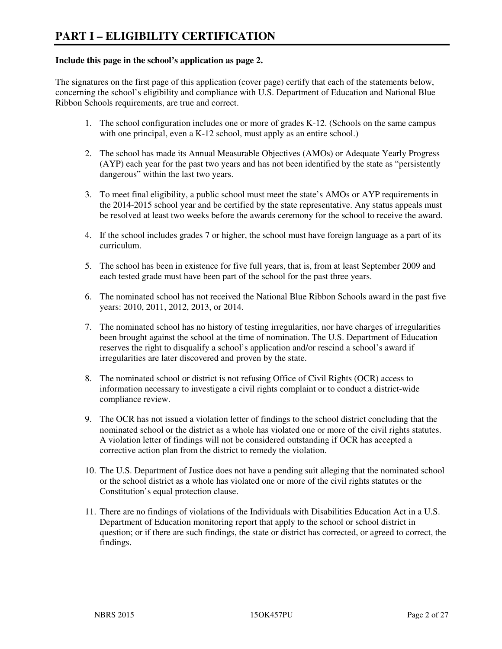#### **Include this page in the school's application as page 2.**

The signatures on the first page of this application (cover page) certify that each of the statements below, concerning the school's eligibility and compliance with U.S. Department of Education and National Blue Ribbon Schools requirements, are true and correct.

- 1. The school configuration includes one or more of grades K-12. (Schools on the same campus with one principal, even a K-12 school, must apply as an entire school.)
- 2. The school has made its Annual Measurable Objectives (AMOs) or Adequate Yearly Progress (AYP) each year for the past two years and has not been identified by the state as "persistently dangerous" within the last two years.
- 3. To meet final eligibility, a public school must meet the state's AMOs or AYP requirements in the 2014-2015 school year and be certified by the state representative. Any status appeals must be resolved at least two weeks before the awards ceremony for the school to receive the award.
- 4. If the school includes grades 7 or higher, the school must have foreign language as a part of its curriculum.
- 5. The school has been in existence for five full years, that is, from at least September 2009 and each tested grade must have been part of the school for the past three years.
- 6. The nominated school has not received the National Blue Ribbon Schools award in the past five years: 2010, 2011, 2012, 2013, or 2014.
- 7. The nominated school has no history of testing irregularities, nor have charges of irregularities been brought against the school at the time of nomination. The U.S. Department of Education reserves the right to disqualify a school's application and/or rescind a school's award if irregularities are later discovered and proven by the state.
- 8. The nominated school or district is not refusing Office of Civil Rights (OCR) access to information necessary to investigate a civil rights complaint or to conduct a district-wide compliance review.
- 9. The OCR has not issued a violation letter of findings to the school district concluding that the nominated school or the district as a whole has violated one or more of the civil rights statutes. A violation letter of findings will not be considered outstanding if OCR has accepted a corrective action plan from the district to remedy the violation.
- 10. The U.S. Department of Justice does not have a pending suit alleging that the nominated school or the school district as a whole has violated one or more of the civil rights statutes or the Constitution's equal protection clause.
- 11. There are no findings of violations of the Individuals with Disabilities Education Act in a U.S. Department of Education monitoring report that apply to the school or school district in question; or if there are such findings, the state or district has corrected, or agreed to correct, the findings.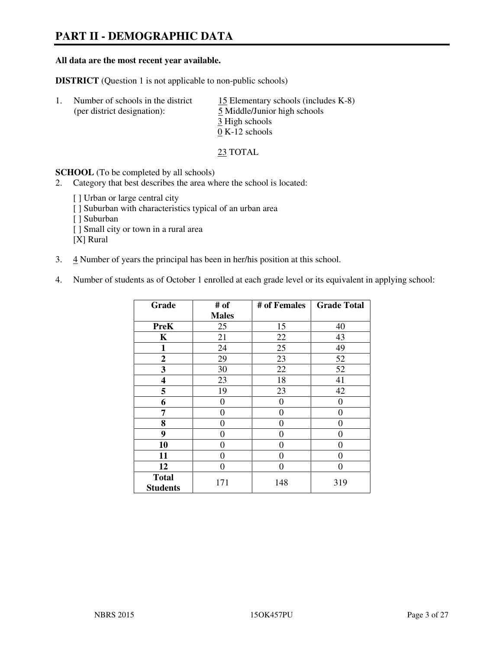# **PART II - DEMOGRAPHIC DATA**

#### **All data are the most recent year available.**

**DISTRICT** (Question 1 is not applicable to non-public schools)

| Number of schools in the district<br>(per district designation): | 15 Elementary schools (includes K-8)<br>5 Middle/Junior high schools<br>3 High schools |
|------------------------------------------------------------------|----------------------------------------------------------------------------------------|
|                                                                  | $0 K-12$ schools                                                                       |

23 TOTAL

**SCHOOL** (To be completed by all schools)

- 2. Category that best describes the area where the school is located:
	- [ ] Urban or large central city [ ] Suburban with characteristics typical of an urban area [ ] Suburban [ ] Small city or town in a rural area [X] Rural
- 3. 4 Number of years the principal has been in her/his position at this school.
- 4. Number of students as of October 1 enrolled at each grade level or its equivalent in applying school:

| Grade                           | # of         | # of Females   | <b>Grade Total</b> |
|---------------------------------|--------------|----------------|--------------------|
|                                 | <b>Males</b> |                |                    |
| <b>PreK</b>                     | 25           | 15             | 40                 |
| K                               | 21           | 22             | 43                 |
| 1                               | 24           | 25             | 49                 |
| $\boldsymbol{2}$                | 29           | 23             | 52                 |
| 3                               | 30           | 22             | 52                 |
| 4                               | 23           | 18             | 41                 |
| 5                               | 19           | 23             | 42                 |
| 6                               | 0            | $\theta$       | 0                  |
| 7                               | 0            | $\overline{0}$ | 0                  |
| 8                               | 0            | 0              | 0                  |
| 9                               | $\theta$     | $\overline{0}$ | 0                  |
| 10                              | 0            | 0              | 0                  |
| 11                              | 0            | 0              | 0                  |
| 12                              | 0            | 0              | 0                  |
| <b>Total</b><br><b>Students</b> | 171          | 148            | 319                |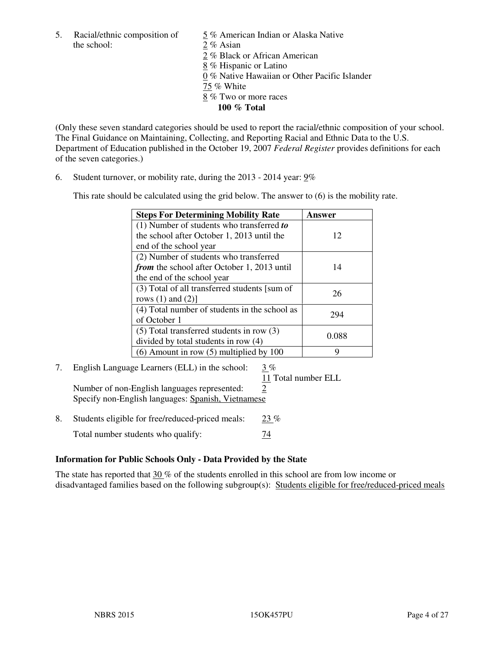5. Racial/ethnic composition of  $\frac{5}{9}$ % American Indian or Alaska Native the school: 2 % Asian

 2 % Black or African American 8 % Hispanic or Latino 0 % Native Hawaiian or Other Pacific Islander 75 % White 8 % Two or more races **100 % Total** 

(Only these seven standard categories should be used to report the racial/ethnic composition of your school. The Final Guidance on Maintaining, Collecting, and Reporting Racial and Ethnic Data to the U.S. Department of Education published in the October 19, 2007 *Federal Register* provides definitions for each of the seven categories.)

6. Student turnover, or mobility rate, during the 2013 - 2014 year: 9%

This rate should be calculated using the grid below. The answer to (6) is the mobility rate.

| <b>Steps For Determining Mobility Rate</b>         | Answer |  |
|----------------------------------------------------|--------|--|
| $(1)$ Number of students who transferred to        |        |  |
| the school after October 1, 2013 until the         | 12     |  |
| end of the school year                             |        |  |
| (2) Number of students who transferred             |        |  |
| <i>from</i> the school after October 1, 2013 until | 14     |  |
| the end of the school year                         |        |  |
| (3) Total of all transferred students [sum of      | 26     |  |
| rows $(1)$ and $(2)$ ]                             |        |  |
| (4) Total number of students in the school as      | 294    |  |
| of October 1                                       |        |  |
| $(5)$ Total transferred students in row $(3)$      |        |  |
| divided by total students in row (4)               | 0.088  |  |
| $(6)$ Amount in row $(5)$ multiplied by 100        | 9      |  |

# 7. English Language Learners (ELL) in the school: 3 %

11 Total number ELL

Number of non-English languages represented: 2 Specify non-English languages: Spanish, Vietnamese

8. Students eligible for free/reduced-priced meals:  $23\%$ Total number students who qualify:  $\frac{74}{ }$ 

# **Information for Public Schools Only - Data Provided by the State**

The state has reported that 30 % of the students enrolled in this school are from low income or disadvantaged families based on the following subgroup(s): Students eligible for free/reduced-priced meals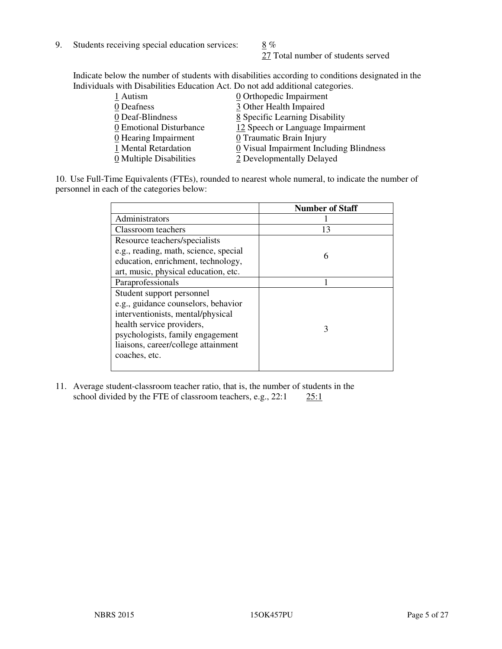9. Students receiving special education services:  $8\%$ 

27 Total number of students served

Indicate below the number of students with disabilities according to conditions designated in the Individuals with Disabilities Education Act. Do not add additional categories.

| 1 Autism                           | $\underline{0}$ Orthopedic Impairment   |
|------------------------------------|-----------------------------------------|
| 0 Deafness                         | 3 Other Health Impaired                 |
| 0 Deaf-Blindness                   | 8 Specific Learning Disability          |
| 0 Emotional Disturbance            | 12 Speech or Language Impairment        |
| $\underline{0}$ Hearing Impairment | 0 Traumatic Brain Injury                |
| 1 Mental Retardation               | 0 Visual Impairment Including Blindness |
| 0 Multiple Disabilities            | 2 Developmentally Delayed               |
|                                    |                                         |

10. Use Full-Time Equivalents (FTEs), rounded to nearest whole numeral, to indicate the number of personnel in each of the categories below:

|                                       | <b>Number of Staff</b> |
|---------------------------------------|------------------------|
| Administrators                        |                        |
| Classroom teachers                    | 13                     |
| Resource teachers/specialists         |                        |
| e.g., reading, math, science, special | 6                      |
| education, enrichment, technology,    |                        |
| art, music, physical education, etc.  |                        |
| Paraprofessionals                     |                        |
| Student support personnel             |                        |
| e.g., guidance counselors, behavior   |                        |
| interventionists, mental/physical     |                        |
| health service providers,             | 3                      |
| psychologists, family engagement      |                        |
| liaisons, career/college attainment   |                        |
| coaches, etc.                         |                        |
|                                       |                        |

11. Average student-classroom teacher ratio, that is, the number of students in the school divided by the FTE of classroom teachers, e.g.,  $22:1$   $25:1$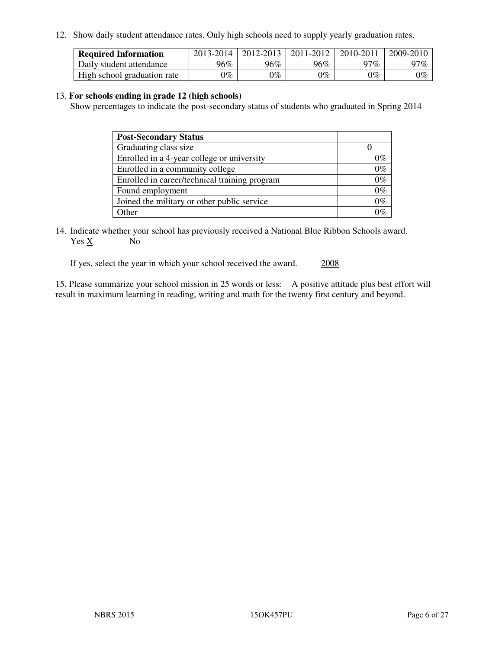12. Show daily student attendance rates. Only high schools need to supply yearly graduation rates.

| <b>Required Information</b> | 2013-2014     | 2012-2013       | 2011-2012 | 2010-2011 | 2009-2010 |
|-----------------------------|---------------|-----------------|-----------|-----------|-----------|
| Daily student attendance    | 96%           | $96\%$          | 96%       | $17\%$    | 97%       |
| High school graduation rate | $\gamma_{\%}$ | $\mathcal{V}_o$ | $0\%$     | 0%        | 0%        |

#### 13. **For schools ending in grade 12 (high schools)**

Show percentages to indicate the post-secondary status of students who graduated in Spring 2014

| <b>Post-Secondary Status</b>                  |       |
|-----------------------------------------------|-------|
| Graduating class size                         |       |
| Enrolled in a 4-year college or university    | 0%    |
| Enrolled in a community college               | $0\%$ |
| Enrolled in career/technical training program | $0\%$ |
| Found employment                              | $0\%$ |
| Joined the military or other public service   | $0\%$ |
| Other                                         |       |

14. Indicate whether your school has previously received a National Blue Ribbon Schools award. Yes X No

If yes, select the year in which your school received the award. 2008

15. Please summarize your school mission in 25 words or less: A positive attitude plus best effort will result in maximum learning in reading, writing and math for the twenty first century and beyond.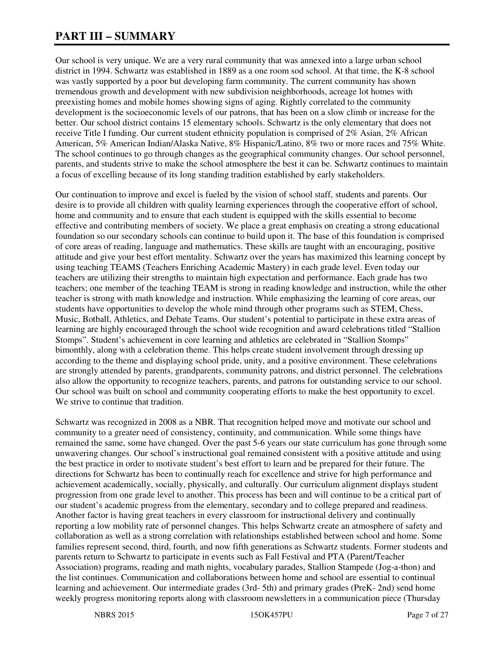# **PART III – SUMMARY**

Our school is very unique. We are a very rural community that was annexed into a large urban school district in 1994. Schwartz was established in 1889 as a one room sod school. At that time, the K-8 school was vastly supported by a poor but developing farm community. The current community has shown tremendous growth and development with new subdivision neighborhoods, acreage lot homes with preexisting homes and mobile homes showing signs of aging. Rightly correlated to the community development is the socioeconomic levels of our patrons, that has been on a slow climb or increase for the better. Our school district contains 15 elementary schools. Schwartz is the only elementary that does not receive Title I funding. Our current student ethnicity population is comprised of 2% Asian, 2% African American, 5% American Indian/Alaska Native, 8% Hispanic/Latino, 8% two or more races and 75% White. The school continues to go through changes as the geographical community changes. Our school personnel, parents, and students strive to make the school atmosphere the best it can be. Schwartz continues to maintain a focus of excelling because of its long standing tradition established by early stakeholders.

Our continuation to improve and excel is fueled by the vision of school staff, students and parents. Our desire is to provide all children with quality learning experiences through the cooperative effort of school, home and community and to ensure that each student is equipped with the skills essential to become effective and contributing members of society. We place a great emphasis on creating a strong educational foundation so our secondary schools can continue to build upon it. The base of this foundation is comprised of core areas of reading, language and mathematics. These skills are taught with an encouraging, positive attitude and give your best effort mentality. Schwartz over the years has maximized this learning concept by using teaching TEAMS (Teachers Enriching Academic Mastery) in each grade level. Even today our teachers are utilizing their strengths to maintain high expectation and performance. Each grade has two teachers; one member of the teaching TEAM is strong in reading knowledge and instruction, while the other teacher is strong with math knowledge and instruction. While emphasizing the learning of core areas, our students have opportunities to develop the whole mind through other programs such as STEM, Chess, Music, Botball, Athletics, and Debate Teams. Our student's potential to participate in these extra areas of learning are highly encouraged through the school wide recognition and award celebrations titled "Stallion Stomps". Student's achievement in core learning and athletics are celebrated in "Stallion Stomps" bimonthly, along with a celebration theme. This helps create student involvement through dressing up according to the theme and displaying school pride, unity, and a positive environment. These celebrations are strongly attended by parents, grandparents, community patrons, and district personnel. The celebrations also allow the opportunity to recognize teachers, parents, and patrons for outstanding service to our school. Our school was built on school and community cooperating efforts to make the best opportunity to excel. We strive to continue that tradition.

Schwartz was recognized in 2008 as a NBR. That recognition helped move and motivate our school and community to a greater need of consistency, continuity, and communication. While some things have remained the same, some have changed. Over the past 5-6 years our state curriculum has gone through some unwavering changes. Our school's instructional goal remained consistent with a positive attitude and using the best practice in order to motivate student's best effort to learn and be prepared for their future. The directions for Schwartz has been to continually reach for excellence and strive for high performance and achievement academically, socially, physically, and culturally. Our curriculum alignment displays student progression from one grade level to another. This process has been and will continue to be a critical part of our student's academic progress from the elementary, secondary and to college prepared and readiness. Another factor is having great teachers in every classroom for instructional delivery and continually reporting a low mobility rate of personnel changes. This helps Schwartz create an atmosphere of safety and collaboration as well as a strong correlation with relationships established between school and home. Some families represent second, third, fourth, and now fifth generations as Schwartz students. Former students and parents return to Schwartz to participate in events such as Fall Festival and PTA (Parent/Teacher Association) programs, reading and math nights, vocabulary parades, Stallion Stampede (Jog-a-thon) and the list continues. Communication and collaborations between home and school are essential to continual learning and achievement. Our intermediate grades (3rd- 5th) and primary grades (PreK- 2nd) send home weekly progress monitoring reports along with classroom newsletters in a communication piece (Thursday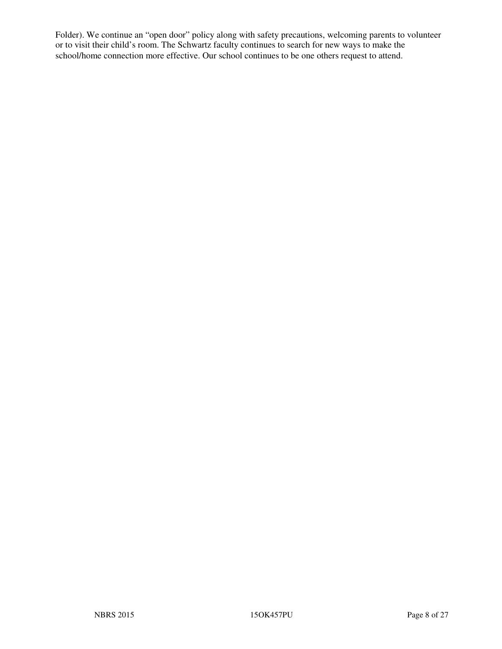Folder). We continue an "open door" policy along with safety precautions, welcoming parents to volunteer or to visit their child's room. The Schwartz faculty continues to search for new ways to make the school/home connection more effective. Our school continues to be one others request to attend.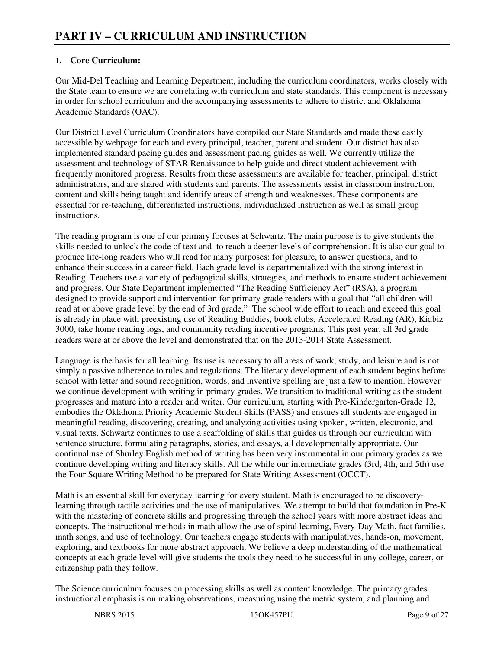# **1. Core Curriculum:**

Our Mid-Del Teaching and Learning Department, including the curriculum coordinators, works closely with the State team to ensure we are correlating with curriculum and state standards. This component is necessary in order for school curriculum and the accompanying assessments to adhere to district and Oklahoma Academic Standards (OAC).

Our District Level Curriculum Coordinators have compiled our State Standards and made these easily accessible by webpage for each and every principal, teacher, parent and student. Our district has also implemented standard pacing guides and assessment pacing guides as well. We currently utilize the assessment and technology of STAR Renaissance to help guide and direct student achievement with frequently monitored progress. Results from these assessments are available for teacher, principal, district administrators, and are shared with students and parents. The assessments assist in classroom instruction, content and skills being taught and identify areas of strength and weaknesses. These components are essential for re-teaching, differentiated instructions, individualized instruction as well as small group instructions.

The reading program is one of our primary focuses at Schwartz. The main purpose is to give students the skills needed to unlock the code of text and to reach a deeper levels of comprehension. It is also our goal to produce life-long readers who will read for many purposes: for pleasure, to answer questions, and to enhance their success in a career field. Each grade level is departmentalized with the strong interest in Reading. Teachers use a variety of pedagogical skills, strategies, and methods to ensure student achievement and progress. Our State Department implemented "The Reading Sufficiency Act" (RSA), a program designed to provide support and intervention for primary grade readers with a goal that "all children will read at or above grade level by the end of 3rd grade." The school wide effort to reach and exceed this goal is already in place with preexisting use of Reading Buddies, book clubs, Accelerated Reading (AR), Kidbiz 3000, take home reading logs, and community reading incentive programs. This past year, all 3rd grade readers were at or above the level and demonstrated that on the 2013-2014 State Assessment.

Language is the basis for all learning. Its use is necessary to all areas of work, study, and leisure and is not simply a passive adherence to rules and regulations. The literacy development of each student begins before school with letter and sound recognition, words, and inventive spelling are just a few to mention. However we continue development with writing in primary grades. We transition to traditional writing as the student progresses and mature into a reader and writer. Our curriculum, starting with Pre-Kindergarten-Grade 12, embodies the Oklahoma Priority Academic Student Skills (PASS) and ensures all students are engaged in meaningful reading, discovering, creating, and analyzing activities using spoken, written, electronic, and visual texts. Schwartz continues to use a scaffolding of skills that guides us through our curriculum with sentence structure, formulating paragraphs, stories, and essays, all developmentally appropriate. Our continual use of Shurley English method of writing has been very instrumental in our primary grades as we continue developing writing and literacy skills. All the while our intermediate grades (3rd, 4th, and 5th) use the Four Square Writing Method to be prepared for State Writing Assessment (OCCT).

Math is an essential skill for everyday learning for every student. Math is encouraged to be discoverylearning through tactile activities and the use of manipulatives. We attempt to build that foundation in Pre-K with the mastering of concrete skills and progressing through the school years with more abstract ideas and concepts. The instructional methods in math allow the use of spiral learning, Every-Day Math, fact families, math songs, and use of technology. Our teachers engage students with manipulatives, hands-on, movement, exploring, and textbooks for more abstract approach. We believe a deep understanding of the mathematical concepts at each grade level will give students the tools they need to be successful in any college, career, or citizenship path they follow.

The Science curriculum focuses on processing skills as well as content knowledge. The primary grades instructional emphasis is on making observations, measuring using the metric system, and planning and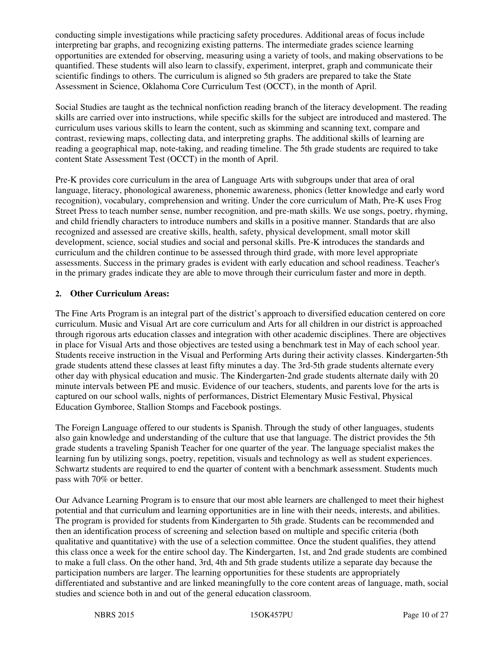conducting simple investigations while practicing safety procedures. Additional areas of focus include interpreting bar graphs, and recognizing existing patterns. The intermediate grades science learning opportunities are extended for observing, measuring using a variety of tools, and making observations to be quantified. These students will also learn to classify, experiment, interpret, graph and communicate their scientific findings to others. The curriculum is aligned so 5th graders are prepared to take the State Assessment in Science, Oklahoma Core Curriculum Test (OCCT), in the month of April.

Social Studies are taught as the technical nonfiction reading branch of the literacy development. The reading skills are carried over into instructions, while specific skills for the subject are introduced and mastered. The curriculum uses various skills to learn the content, such as skimming and scanning text, compare and contrast, reviewing maps, collecting data, and interpreting graphs. The additional skills of learning are reading a geographical map, note-taking, and reading timeline. The 5th grade students are required to take content State Assessment Test (OCCT) in the month of April.

Pre-K provides core curriculum in the area of Language Arts with subgroups under that area of oral language, literacy, phonological awareness, phonemic awareness, phonics (letter knowledge and early word recognition), vocabulary, comprehension and writing. Under the core curriculum of Math, Pre-K uses Frog Street Press to teach number sense, number recognition, and pre-math skills. We use songs, poetry, rhyming, and child friendly characters to introduce numbers and skills in a positive manner. Standards that are also recognized and assessed are creative skills, health, safety, physical development, small motor skill development, science, social studies and social and personal skills. Pre-K introduces the standards and curriculum and the children continue to be assessed through third grade, with more level appropriate assessments. Success in the primary grades is evident with early education and school readiness. Teacher's in the primary grades indicate they are able to move through their curriculum faster and more in depth.

# **2. Other Curriculum Areas:**

The Fine Arts Program is an integral part of the district's approach to diversified education centered on core curriculum. Music and Visual Art are core curriculum and Arts for all children in our district is approached through rigorous arts education classes and integration with other academic disciplines. There are objectives in place for Visual Arts and those objectives are tested using a benchmark test in May of each school year. Students receive instruction in the Visual and Performing Arts during their activity classes. Kindergarten-5th grade students attend these classes at least fifty minutes a day. The 3rd-5th grade students alternate every other day with physical education and music. The Kindergarten-2nd grade students alternate daily with 20 minute intervals between PE and music. Evidence of our teachers, students, and parents love for the arts is captured on our school walls, nights of performances, District Elementary Music Festival, Physical Education Gymboree, Stallion Stomps and Facebook postings.

The Foreign Language offered to our students is Spanish. Through the study of other languages, students also gain knowledge and understanding of the culture that use that language. The district provides the 5th grade students a traveling Spanish Teacher for one quarter of the year. The language specialist makes the learning fun by utilizing songs, poetry, repetition, visuals and technology as well as student experiences. Schwartz students are required to end the quarter of content with a benchmark assessment. Students much pass with 70% or better.

Our Advance Learning Program is to ensure that our most able learners are challenged to meet their highest potential and that curriculum and learning opportunities are in line with their needs, interests, and abilities. The program is provided for students from Kindergarten to 5th grade. Students can be recommended and then an identification process of screening and selection based on multiple and specific criteria (both qualitative and quantitative) with the use of a selection committee. Once the student qualifies, they attend this class once a week for the entire school day. The Kindergarten, 1st, and 2nd grade students are combined to make a full class. On the other hand, 3rd, 4th and 5th grade students utilize a separate day because the participation numbers are larger. The learning opportunities for these students are appropriately differentiated and substantive and are linked meaningfully to the core content areas of language, math, social studies and science both in and out of the general education classroom.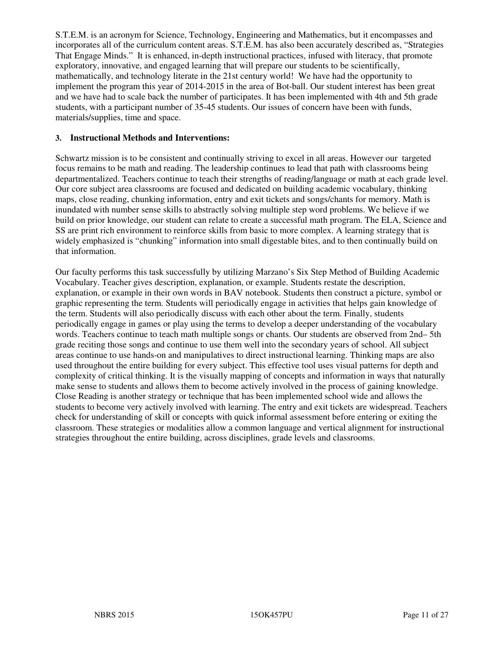S.T.E.M. is an acronym for Science, Technology, Engineering and Mathematics, but it encompasses and incorporates all of the curriculum content areas. S.T.E.M. has also been accurately described as, "Strategies That Engage Minds." It is enhanced, in-depth instructional practices, infused with literacy, that promote exploratory, innovative, and engaged learning that will prepare our students to be scientifically, mathematically, and technology literate in the 21st century world! We have had the opportunity to implement the program this year of 2014-2015 in the area of Bot-ball. Our student interest has been great and we have had to scale back the number of participates. It has been implemented with 4th and 5th grade students, with a participant number of 35-45 students. Our issues of concern have been with funds, materials/supplies, time and space.

#### **3. Instructional Methods and Interventions:**

Schwartz mission is to be consistent and continually striving to excel in all areas. However our targeted focus remains to be math and reading. The leadership continues to lead that path with classrooms being departmentalized. Teachers continue to teach their strengths of reading/language or math at each grade level. Our core subject area classrooms are focused and dedicated on building academic vocabulary, thinking maps, close reading, chunking information, entry and exit tickets and songs/chants for memory. Math is inundated with number sense skills to abstractly solving multiple step word problems. We believe if we build on prior knowledge, our student can relate to create a successful math program. The ELA, Science and SS are print rich environment to reinforce skills from basic to more complex. A learning strategy that is widely emphasized is "chunking" information into small digestable bites, and to then continually build on that information.

Our faculty performs this task successfully by utilizing Marzano's Six Step Method of Building Academic Vocabulary. Teacher gives description, explanation, or example. Students restate the description, explanation, or example in their own words in BAV notebook. Students then construct a picture, symbol or graphic representing the term. Students will periodically engage in activities that helps gain knowledge of the term. Students will also periodically discuss with each other about the term. Finally, students periodically engage in games or play using the terms to develop a deeper understanding of the vocabulary words. Teachers continue to teach math multiple songs or chants. Our students are observed from 2nd– 5th grade reciting those songs and continue to use them well into the secondary years of school. All subject areas continue to use hands-on and manipulatives to direct instructional learning. Thinking maps are also used throughout the entire building for every subject. This effective tool uses visual patterns for depth and complexity of critical thinking. It is the visually mapping of concepts and information in ways that naturally make sense to students and allows them to become actively involved in the process of gaining knowledge. Close Reading is another strategy or technique that has been implemented school wide and allows the students to become very actively involved with learning. The entry and exit tickets are widespread. Teachers check for understanding of skill or concepts with quick informal assessment before entering or exiting the classroom. These strategies or modalities allow a common language and vertical alignment for instructional strategies throughout the entire building, across disciplines, grade levels and classrooms.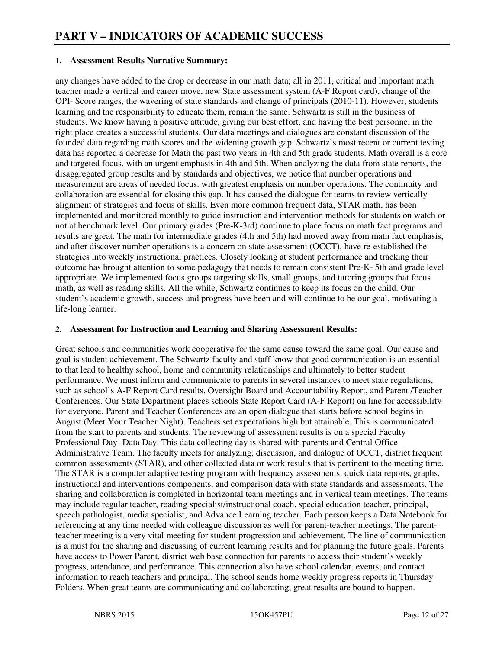#### **1. Assessment Results Narrative Summary:**

any changes have added to the drop or decrease in our math data; all in 2011, critical and important math teacher made a vertical and career move, new State assessment system (A-F Report card), change of the OPI- Score ranges, the wavering of state standards and change of principals (2010-11). However, students learning and the responsibility to educate them, remain the same. Schwartz is still in the business of students. We know having a positive attitude, giving our best effort, and having the best personnel in the right place creates a successful students. Our data meetings and dialogues are constant discussion of the founded data regarding math scores and the widening growth gap. Schwartz's most recent or current testing data has reported a decrease for Math the past two years in 4th and 5th grade students. Math overall is a core and targeted focus, with an urgent emphasis in 4th and 5th. When analyzing the data from state reports, the disaggregated group results and by standards and objectives, we notice that number operations and measurement are areas of needed focus. with greatest emphasis on number operations. The continuity and collaboration are essential for closing this gap. It has caused the dialogue for teams to review vertically alignment of strategies and focus of skills. Even more common frequent data, STAR math, has been implemented and monitored monthly to guide instruction and intervention methods for students on watch or not at benchmark level. Our primary grades (Pre-K-3rd) continue to place focus on math fact programs and results are great. The math for intermediate grades (4th and 5th) had moved away from math fact emphasis, and after discover number operations is a concern on state assessment (OCCT), have re-established the strategies into weekly instructional practices. Closely looking at student performance and tracking their outcome has brought attention to some pedagogy that needs to remain consistent Pre-K- 5th and grade level appropriate. We implemented focus groups targeting skills, small groups, and tutoring groups that focus math, as well as reading skills. All the while, Schwartz continues to keep its focus on the child. Our student's academic growth, success and progress have been and will continue to be our goal, motivating a life-long learner.

#### **2. Assessment for Instruction and Learning and Sharing Assessment Results:**

Great schools and communities work cooperative for the same cause toward the same goal. Our cause and goal is student achievement. The Schwartz faculty and staff know that good communication is an essential to that lead to healthy school, home and community relationships and ultimately to better student performance. We must inform and communicate to parents in several instances to meet state regulations, such as school's A-F Report Card results, Oversight Board and Accountability Report, and Parent /Teacher Conferences. Our State Department places schools State Report Card (A-F Report) on line for accessibility for everyone. Parent and Teacher Conferences are an open dialogue that starts before school begins in August (Meet Your Teacher Night). Teachers set expectations high but attainable. This is communicated from the start to parents and students. The reviewing of assessment results is on a special Faculty Professional Day- Data Day. This data collecting day is shared with parents and Central Office Administrative Team. The faculty meets for analyzing, discussion, and dialogue of OCCT, district frequent common assessments (STAR), and other collected data or work results that is pertinent to the meeting time. The STAR is a computer adaptive testing program with frequency assessments, quick data reports, graphs, instructional and interventions components, and comparison data with state standards and assessments. The sharing and collaboration is completed in horizontal team meetings and in vertical team meetings. The teams may include regular teacher, reading specialist/instructional coach, special education teacher, principal, speech pathologist, media specialist, and Advance Learning teacher. Each person keeps a Data Notebook for referencing at any time needed with colleague discussion as well for parent-teacher meetings. The parentteacher meeting is a very vital meeting for student progression and achievement. The line of communication is a must for the sharing and discussing of current learning results and for planning the future goals. Parents have access to Power Parent, district web base connection for parents to access their student's weekly progress, attendance, and performance. This connection also have school calendar, events, and contact information to reach teachers and principal. The school sends home weekly progress reports in Thursday Folders. When great teams are communicating and collaborating, great results are bound to happen.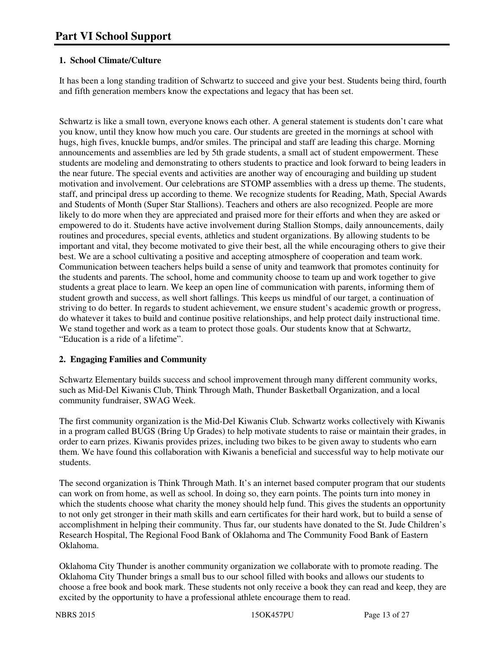# **1. School Climate/Culture**

It has been a long standing tradition of Schwartz to succeed and give your best. Students being third, fourth and fifth generation members know the expectations and legacy that has been set.

Schwartz is like a small town, everyone knows each other. A general statement is students don't care what you know, until they know how much you care. Our students are greeted in the mornings at school with hugs, high fives, knuckle bumps, and/or smiles. The principal and staff are leading this charge. Morning announcements and assemblies are led by 5th grade students, a small act of student empowerment. These students are modeling and demonstrating to others students to practice and look forward to being leaders in the near future. The special events and activities are another way of encouraging and building up student motivation and involvement. Our celebrations are STOMP assemblies with a dress up theme. The students, staff, and principal dress up according to theme. We recognize students for Reading, Math, Special Awards and Students of Month (Super Star Stallions). Teachers and others are also recognized. People are more likely to do more when they are appreciated and praised more for their efforts and when they are asked or empowered to do it. Students have active involvement during Stallion Stomps, daily announcements, daily routines and procedures, special events, athletics and student organizations. By allowing students to be important and vital, they become motivated to give their best, all the while encouraging others to give their best. We are a school cultivating a positive and accepting atmosphere of cooperation and team work. Communication between teachers helps build a sense of unity and teamwork that promotes continuity for the students and parents. The school, home and community choose to team up and work together to give students a great place to learn. We keep an open line of communication with parents, informing them of student growth and success, as well short fallings. This keeps us mindful of our target, a continuation of striving to do better. In regards to student achievement, we ensure student's academic growth or progress, do whatever it takes to build and continue positive relationships, and help protect daily instructional time. We stand together and work as a team to protect those goals. Our students know that at Schwartz, "Education is a ride of a lifetime".

# **2. Engaging Families and Community**

Schwartz Elementary builds success and school improvement through many different community works, such as Mid-Del Kiwanis Club, Think Through Math, Thunder Basketball Organization, and a local community fundraiser, SWAG Week.

The first community organization is the Mid-Del Kiwanis Club. Schwartz works collectively with Kiwanis in a program called BUGS (Bring Up Grades) to help motivate students to raise or maintain their grades, in order to earn prizes. Kiwanis provides prizes, including two bikes to be given away to students who earn them. We have found this collaboration with Kiwanis a beneficial and successful way to help motivate our students.

The second organization is Think Through Math. It's an internet based computer program that our students can work on from home, as well as school. In doing so, they earn points. The points turn into money in which the students choose what charity the money should help fund. This gives the students an opportunity to not only get stronger in their math skills and earn certificates for their hard work, but to build a sense of accomplishment in helping their community. Thus far, our students have donated to the St. Jude Children's Research Hospital, The Regional Food Bank of Oklahoma and The Community Food Bank of Eastern Oklahoma.

Oklahoma City Thunder is another community organization we collaborate with to promote reading. The Oklahoma City Thunder brings a small bus to our school filled with books and allows our students to choose a free book and book mark. These students not only receive a book they can read and keep, they are excited by the opportunity to have a professional athlete encourage them to read.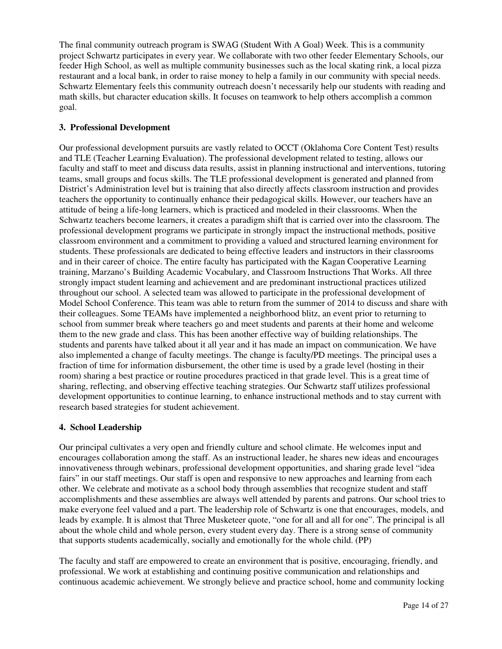The final community outreach program is SWAG (Student With A Goal) Week. This is a community project Schwartz participates in every year. We collaborate with two other feeder Elementary Schools, our feeder High School, as well as multiple community businesses such as the local skating rink, a local pizza restaurant and a local bank, in order to raise money to help a family in our community with special needs. Schwartz Elementary feels this community outreach doesn't necessarily help our students with reading and math skills, but character education skills. It focuses on teamwork to help others accomplish a common goal.

#### **3. Professional Development**

Our professional development pursuits are vastly related to OCCT (Oklahoma Core Content Test) results and TLE (Teacher Learning Evaluation). The professional development related to testing, allows our faculty and staff to meet and discuss data results, assist in planning instructional and interventions, tutoring teams, small groups and focus skills. The TLE professional development is generated and planned from District's Administration level but is training that also directly affects classroom instruction and provides teachers the opportunity to continually enhance their pedagogical skills. However, our teachers have an attitude of being a life-long learners, which is practiced and modeled in their classrooms. When the Schwartz teachers become learners, it creates a paradigm shift that is carried over into the classroom. The professional development programs we participate in strongly impact the instructional methods, positive classroom environment and a commitment to providing a valued and structured learning environment for students. These professionals are dedicated to being effective leaders and instructors in their classrooms and in their career of choice. The entire faculty has participated with the Kagan Cooperative Learning training, Marzano's Building Academic Vocabulary, and Classroom Instructions That Works. All three strongly impact student learning and achievement and are predominant instructional practices utilized throughout our school. A selected team was allowed to participate in the professional development of Model School Conference. This team was able to return from the summer of 2014 to discuss and share with their colleagues. Some TEAMs have implemented a neighborhood blitz, an event prior to returning to school from summer break where teachers go and meet students and parents at their home and welcome them to the new grade and class. This has been another effective way of building relationships. The students and parents have talked about it all year and it has made an impact on communication. We have also implemented a change of faculty meetings. The change is faculty/PD meetings. The principal uses a fraction of time for information disbursement, the other time is used by a grade level (hosting in their room) sharing a best practice or routine procedures practiced in that grade level. This is a great time of sharing, reflecting, and observing effective teaching strategies. Our Schwartz staff utilizes professional development opportunities to continue learning, to enhance instructional methods and to stay current with research based strategies for student achievement.

#### **4. School Leadership**

Our principal cultivates a very open and friendly culture and school climate. He welcomes input and encourages collaboration among the staff. As an instructional leader, he shares new ideas and encourages innovativeness through webinars, professional development opportunities, and sharing grade level "idea fairs" in our staff meetings. Our staff is open and responsive to new approaches and learning from each other. We celebrate and motivate as a school body through assemblies that recognize student and staff accomplishments and these assemblies are always well attended by parents and patrons. Our school tries to make everyone feel valued and a part. The leadership role of Schwartz is one that encourages, models, and leads by example. It is almost that Three Musketeer quote, "one for all and all for one". The principal is all about the whole child and whole person, every student every day. There is a strong sense of community that supports students academically, socially and emotionally for the whole child. (PP)

The faculty and staff are empowered to create an environment that is positive, encouraging, friendly, and professional. We work at establishing and continuing positive communication and relationships and continuous academic achievement. We strongly believe and practice school, home and community locking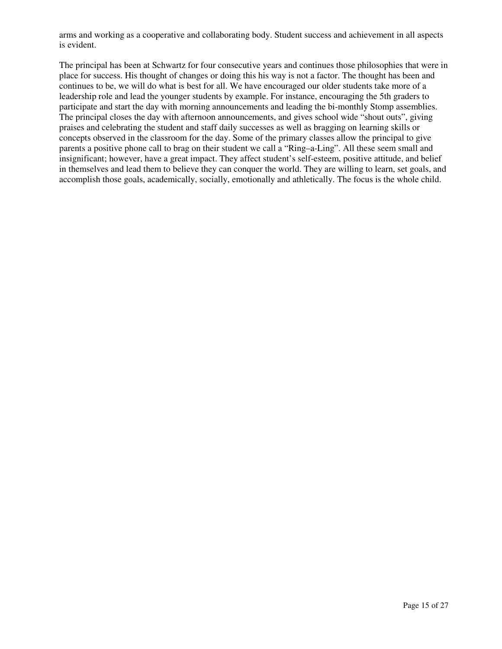arms and working as a cooperative and collaborating body. Student success and achievement in all aspects is evident.

The principal has been at Schwartz for four consecutive years and continues those philosophies that were in place for success. His thought of changes or doing this his way is not a factor. The thought has been and continues to be, we will do what is best for all. We have encouraged our older students take more of a leadership role and lead the younger students by example. For instance, encouraging the 5th graders to participate and start the day with morning announcements and leading the bi-monthly Stomp assemblies. The principal closes the day with afternoon announcements, and gives school wide "shout outs", giving praises and celebrating the student and staff daily successes as well as bragging on learning skills or concepts observed in the classroom for the day. Some of the primary classes allow the principal to give parents a positive phone call to brag on their student we call a "Ring–a-Ling". All these seem small and insignificant; however, have a great impact. They affect student's self-esteem, positive attitude, and belief in themselves and lead them to believe they can conquer the world. They are willing to learn, set goals, and accomplish those goals, academically, socially, emotionally and athletically. The focus is the whole child.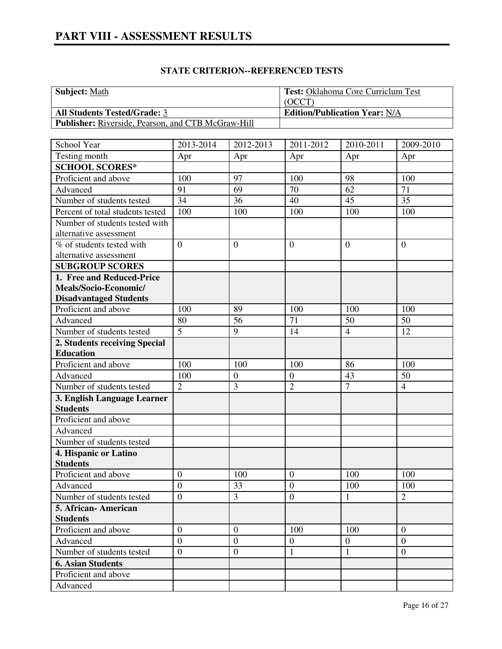| <b>Subject:</b> Math                                      | <b>Test: Oklahoma Core Curriclum Test</b> |
|-----------------------------------------------------------|-------------------------------------------|
|                                                           | (OCCT)                                    |
| <b>All Students Tested/Grade: 3</b>                       | <b>Edition/Publication Year: N/A</b>      |
| <b>Publisher:</b> Riverside, Pearson, and CTB McGraw-Hill |                                           |

| School Year                                      | 2013-2014                          | 2012-2013               | 2011-2012        | 2010-2011      | 2009-2010             |
|--------------------------------------------------|------------------------------------|-------------------------|------------------|----------------|-----------------------|
| Testing month                                    | Apr                                | Apr                     | Apr              | Apr            | Apr                   |
| <b>SCHOOL SCORES*</b>                            |                                    |                         |                  |                |                       |
| Proficient and above                             | 100                                | 97                      | 100              | 98             | 100                   |
| Advanced                                         | 91                                 | 69                      | 70               | 62             | 71                    |
| Number of students tested                        | 34                                 | 36                      | 40               | 45             | 35                    |
| Percent of total students tested                 | 100                                | 100                     | 100              | 100            | 100                   |
| Number of students tested with                   |                                    |                         |                  |                |                       |
| alternative assessment                           |                                    |                         |                  |                |                       |
| % of students tested with                        | $\overline{0}$                     | $\boldsymbol{0}$        | $\overline{0}$   | $\overline{0}$ | $\overline{0}$        |
| alternative assessment                           |                                    |                         |                  |                |                       |
| <b>SUBGROUP SCORES</b>                           |                                    |                         |                  |                |                       |
| 1. Free and Reduced-Price                        |                                    |                         |                  |                |                       |
| Meals/Socio-Economic/                            |                                    |                         |                  |                |                       |
| <b>Disadvantaged Students</b>                    |                                    |                         |                  |                |                       |
| Proficient and above                             | 100                                | 89                      | 100              | 100            | 100                   |
| Advanced                                         | 80                                 | 56                      | 71               | 50             | 50                    |
| Number of students tested                        | $\overline{5}$                     | 9                       | 14               | $\overline{4}$ | 12                    |
| 2. Students receiving Special                    |                                    |                         |                  |                |                       |
| <b>Education</b>                                 |                                    |                         |                  |                |                       |
| Proficient and above                             | 100                                | 100                     | 100              | 86             | 100                   |
| Advanced                                         | 100                                | $\boldsymbol{0}$        | $\mathbf{0}$     | 43             | 50                    |
| Number of students tested                        | $\overline{2}$                     | 3                       | $\overline{2}$   | $\overline{7}$ | $\overline{4}$        |
| 3. English Language Learner                      |                                    |                         |                  |                |                       |
| <b>Students</b>                                  |                                    |                         |                  |                |                       |
| Proficient and above                             |                                    |                         |                  |                |                       |
| Advanced                                         |                                    |                         |                  |                |                       |
| Number of students tested                        |                                    |                         |                  |                |                       |
| 4. Hispanic or Latino                            |                                    |                         |                  |                |                       |
| <b>Students</b>                                  |                                    |                         | $\boldsymbol{0}$ | 100            | 100                   |
| Proficient and above                             | $\boldsymbol{0}$<br>$\overline{0}$ | 100<br>33               | $\boldsymbol{0}$ |                |                       |
| Advanced                                         | $\overline{0}$                     | $\overline{\mathbf{3}}$ | $\overline{0}$   | 100            | 100<br>$\overline{2}$ |
| Number of students tested                        |                                    |                         |                  | $\mathbf{1}$   |                       |
| 5. African-American                              |                                    |                         |                  |                |                       |
| <b>Students</b>                                  | $\overline{0}$                     | $\overline{0}$          | 100              | 100            | $\theta$              |
| Proficient and above<br>Advanced                 | $\overline{0}$                     | $\boldsymbol{0}$        | $\boldsymbol{0}$ | $\mathbf{0}$   | $\boldsymbol{0}$      |
| Number of students tested                        | $\overline{0}$                     | $\boldsymbol{0}$        | 1                | 1              | $\overline{0}$        |
|                                                  |                                    |                         |                  |                |                       |
| <b>6. Asian Students</b><br>Proficient and above |                                    |                         |                  |                |                       |
|                                                  |                                    |                         |                  |                |                       |
| Advanced                                         |                                    |                         |                  |                |                       |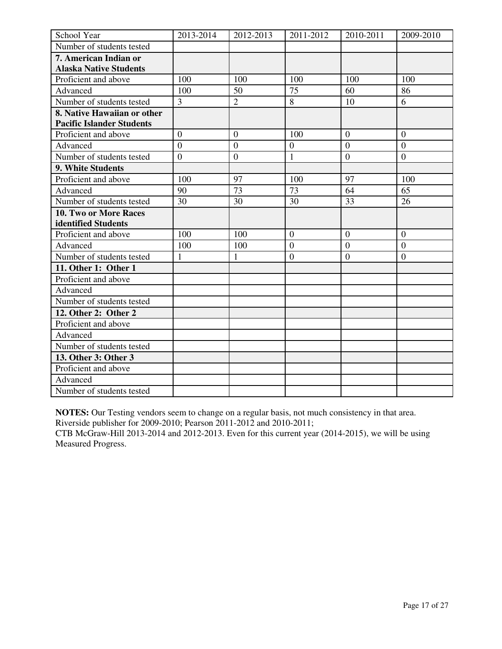| School Year                      | 2013-2014      | 2012-2013        | 2011-2012        | 2010-2011      | 2009-2010        |
|----------------------------------|----------------|------------------|------------------|----------------|------------------|
| Number of students tested        |                |                  |                  |                |                  |
| 7. American Indian or            |                |                  |                  |                |                  |
| <b>Alaska Native Students</b>    |                |                  |                  |                |                  |
| Proficient and above             | 100            | 100              | 100              | 100            | 100              |
| Advanced                         | 100            | 50               | 75               | 60             | 86               |
| Number of students tested        | $\overline{3}$ | $\overline{2}$   | 8                | 10             | 6                |
| 8. Native Hawaiian or other      |                |                  |                  |                |                  |
| <b>Pacific Islander Students</b> |                |                  |                  |                |                  |
| Proficient and above             | $\overline{0}$ | $\mathbf{0}$     | 100              | $\overline{0}$ | $\overline{0}$   |
| Advanced                         | $\overline{0}$ | $\boldsymbol{0}$ | $\boldsymbol{0}$ | $\mathbf{0}$   | $\overline{0}$   |
| Number of students tested        | $\overline{0}$ | $\mathbf{0}$     | $\mathbf{1}$     | $\mathbf{0}$   | $\boldsymbol{0}$ |
| 9. White Students                |                |                  |                  |                |                  |
| Proficient and above             | 100            | 97               | 100              | 97             | 100              |
| Advanced                         | 90             | $\overline{73}$  | $\overline{73}$  | 64             | 65               |
| Number of students tested        | 30             | 30               | 30               | 33             | 26               |
| 10. Two or More Races            |                |                  |                  |                |                  |
| identified Students              |                |                  |                  |                |                  |
| Proficient and above             | 100            | 100              | $\overline{0}$   | $\theta$       | $\Omega$         |
| Advanced                         | 100            | 100              | $\boldsymbol{0}$ | $\overline{0}$ | $\boldsymbol{0}$ |
| Number of students tested        | 1              | $\mathbf{1}$     | $\boldsymbol{0}$ | $\overline{0}$ | $\overline{0}$   |
| 11. Other 1: Other 1             |                |                  |                  |                |                  |
| Proficient and above             |                |                  |                  |                |                  |
| Advanced                         |                |                  |                  |                |                  |
| Number of students tested        |                |                  |                  |                |                  |
| 12. Other 2: Other 2             |                |                  |                  |                |                  |
| Proficient and above             |                |                  |                  |                |                  |
| Advanced                         |                |                  |                  |                |                  |
| Number of students tested        |                |                  |                  |                |                  |
| 13. Other 3: Other 3             |                |                  |                  |                |                  |
| Proficient and above             |                |                  |                  |                |                  |
| Advanced                         |                |                  |                  |                |                  |
| Number of students tested        |                |                  |                  |                |                  |

**NOTES:** Our Testing vendors seem to change on a regular basis, not much consistency in that area. Riverside publisher for 2009-2010; Pearson 2011-2012 and 2010-2011;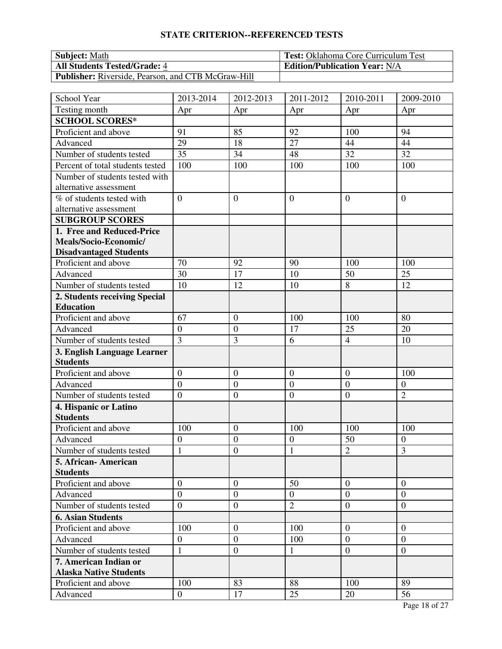| <b>Subject:</b> Math                                      | <b>Test:</b> Oklahoma Core Curriculum Test |
|-----------------------------------------------------------|--------------------------------------------|
| <b>All Students Tested/Grade: 4</b>                       | <b>Edition/Publication Year: N/A</b>       |
| <b>Publisher:</b> Riverside, Pearson, and CTB McGraw-Hill |                                            |

| School Year                      | 2013-2014        | 2012-2013        | 2011-2012        | 2010-2011        | 2009-2010        |
|----------------------------------|------------------|------------------|------------------|------------------|------------------|
| Testing month                    | Apr              | Apr              | Apr              | Apr              | Apr              |
| <b>SCHOOL SCORES*</b>            |                  |                  |                  |                  |                  |
| Proficient and above             | 91               | 85               | 92               | 100              | 94               |
| Advanced                         | 29               | 18               | 27               | 44               | 44               |
| Number of students tested        | 35               | 34               | 48               | 32               | 32               |
| Percent of total students tested | 100              | 100              | 100              | 100              | 100              |
| Number of students tested with   |                  |                  |                  |                  |                  |
| alternative assessment           |                  |                  |                  |                  |                  |
| % of students tested with        | $\overline{0}$   | $\theta$         | $\overline{0}$   | $\overline{0}$   | $\theta$         |
| alternative assessment           |                  |                  |                  |                  |                  |
| <b>SUBGROUP SCORES</b>           |                  |                  |                  |                  |                  |
| 1. Free and Reduced-Price        |                  |                  |                  |                  |                  |
| Meals/Socio-Economic/            |                  |                  |                  |                  |                  |
| <b>Disadvantaged Students</b>    |                  |                  |                  |                  |                  |
| Proficient and above             | 70               | 92               | 90               | 100              | 100              |
| Advanced                         | 30               | 17               | 10               | 50               | 25               |
| Number of students tested        | 10               | 12               | 10               | 8                | 12               |
| 2. Students receiving Special    |                  |                  |                  |                  |                  |
| <b>Education</b>                 |                  |                  |                  |                  |                  |
| Proficient and above             | 67               | $\overline{0}$   | 100              | 100              | 80               |
| Advanced                         | $\boldsymbol{0}$ | $\boldsymbol{0}$ | 17               | 25               | 20               |
| Number of students tested        | $\overline{3}$   | 3                | 6                | $\overline{4}$   | 10               |
| 3. English Language Learner      |                  |                  |                  |                  |                  |
| <b>Students</b>                  |                  |                  |                  |                  |                  |
| Proficient and above             | $\overline{0}$   | $\boldsymbol{0}$ | $\boldsymbol{0}$ | $\boldsymbol{0}$ | 100              |
| Advanced                         | $\boldsymbol{0}$ | $\overline{0}$   | $\mathbf{0}$     | $\boldsymbol{0}$ | $\mathbf{0}$     |
| Number of students tested        | $\overline{0}$   | $\overline{0}$   | $\boldsymbol{0}$ | $\overline{0}$   | $\overline{2}$   |
| 4. Hispanic or Latino            |                  |                  |                  |                  |                  |
| <b>Students</b>                  |                  |                  |                  |                  |                  |
| Proficient and above             | 100              | $\boldsymbol{0}$ | 100              | 100              | 100              |
| Advanced                         | $\boldsymbol{0}$ | $\boldsymbol{0}$ | $\boldsymbol{0}$ | 50               | $\boldsymbol{0}$ |
| Number of students tested        | $\mathbf{1}$     | $\boldsymbol{0}$ | $\mathbf{1}$     | $\overline{2}$   | 3                |
| 5. African- American             |                  |                  |                  |                  |                  |
| <b>Students</b>                  |                  |                  |                  |                  |                  |
| Proficient and above             | $\overline{0}$   | $\mathbf{0}$     | 50               | $\overline{0}$   | $\overline{0}$   |
| Advanced                         | $\overline{0}$   | $\overline{0}$   | $\overline{0}$   | $\overline{0}$   | $\theta$         |
| Number of students tested        | $\overline{0}$   | $\boldsymbol{0}$ | $\overline{2}$   | $\overline{0}$   | $\overline{0}$   |
| <b>6. Asian Students</b>         |                  |                  |                  |                  |                  |
| Proficient and above             | 100              | $\boldsymbol{0}$ | 100              | $\boldsymbol{0}$ | $\overline{0}$   |
| Advanced                         | $\boldsymbol{0}$ | $\boldsymbol{0}$ | 100              | $\overline{0}$   | $\theta$         |
| Number of students tested        | $\mathbf{1}$     | $\overline{0}$   | 1                | $\mathbf{0}$     | $\mathbf{0}$     |
| 7. American Indian or            |                  |                  |                  |                  |                  |
| <b>Alaska Native Students</b>    |                  |                  |                  |                  |                  |
| Proficient and above             | 100              | 83               | 88               | 100              | 89               |
| Advanced                         | $\overline{0}$   | 17               | 25               | 20               | 56               |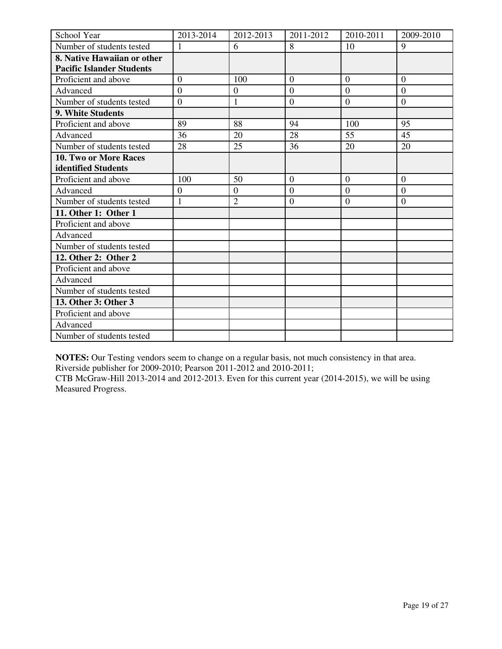| School Year                      | 2013-2014        | 2012-2013        | 2011-2012        | 2010-2011      | 2009-2010      |
|----------------------------------|------------------|------------------|------------------|----------------|----------------|
| Number of students tested        |                  | 6                | 8                | 10             | 9              |
| 8. Native Hawaiian or other      |                  |                  |                  |                |                |
| <b>Pacific Islander Students</b> |                  |                  |                  |                |                |
| Proficient and above             | $\overline{0}$   | 100              | $\theta$         | $\overline{0}$ | $\overline{0}$ |
| Advanced                         | $\overline{0}$   | $\boldsymbol{0}$ | $\overline{0}$   | $\overline{0}$ | $\overline{0}$ |
| Number of students tested        | $\overline{0}$   | 1                | $\overline{0}$   | $\mathbf{0}$   | $\overline{0}$ |
| 9. White Students                |                  |                  |                  |                |                |
| Proficient and above             | 89               | 88               | 94               | 100            | 95             |
| Advanced                         | 36               | 20               | 28               | 55             | 45             |
| Number of students tested        | 28               | 25               | 36               | 20             | 20             |
| 10. Two or More Races            |                  |                  |                  |                |                |
| identified Students              |                  |                  |                  |                |                |
| Proficient and above             | 100              | 50               | $\overline{0}$   | $\overline{0}$ | $\mathbf{0}$   |
| Advanced                         | $\boldsymbol{0}$ | $\overline{0}$   | $\overline{0}$   | $\mathbf{0}$   | $\overline{0}$ |
| Number of students tested        | $\mathbf{1}$     | $\overline{2}$   | $\boldsymbol{0}$ | $\overline{0}$ | $\mathbf{0}$   |
| 11. Other 1: Other 1             |                  |                  |                  |                |                |
| Proficient and above             |                  |                  |                  |                |                |
| Advanced                         |                  |                  |                  |                |                |
| Number of students tested        |                  |                  |                  |                |                |
| 12. Other 2: Other 2             |                  |                  |                  |                |                |
| Proficient and above             |                  |                  |                  |                |                |
| Advanced                         |                  |                  |                  |                |                |
| Number of students tested        |                  |                  |                  |                |                |
| 13. Other 3: Other 3             |                  |                  |                  |                |                |
| Proficient and above             |                  |                  |                  |                |                |
| Advanced                         |                  |                  |                  |                |                |
| Number of students tested        |                  |                  |                  |                |                |

**NOTES:** Our Testing vendors seem to change on a regular basis, not much consistency in that area. Riverside publisher for 2009-2010; Pearson 2011-2012 and 2010-2011;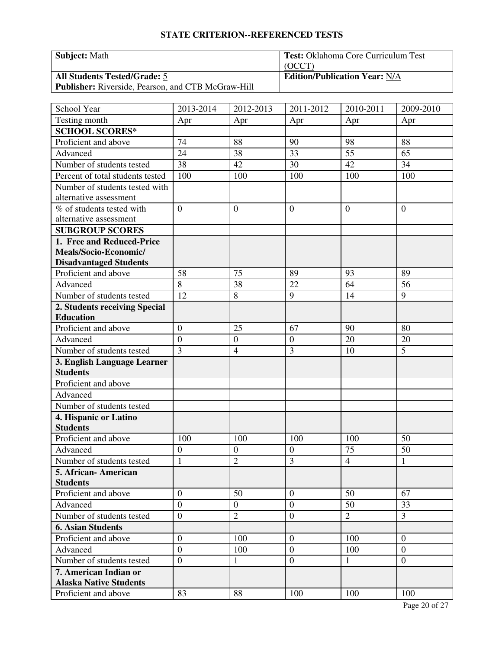| <b>Subject: Math</b>                                      | <b>Test: Oklahoma Core Curriculum Test</b> |
|-----------------------------------------------------------|--------------------------------------------|
|                                                           | (OCCT)                                     |
| <b>All Students Tested/Grade: 5</b>                       | <b>Edition/Publication Year: N/A</b>       |
| <b>Publisher:</b> Riverside, Pearson, and CTB McGraw-Hill |                                            |

| School Year                      | 2013-2014        | 2012-2013        | 2011-2012        | 2010-2011      | 2009-2010      |
|----------------------------------|------------------|------------------|------------------|----------------|----------------|
| Testing month                    | Apr              | Apr              | Apr              | Apr            | Apr            |
| <b>SCHOOL SCORES*</b>            |                  |                  |                  |                |                |
| Proficient and above             | 74               | 88               | 90               | 98             | 88             |
| Advanced                         | 24               | 38               | 33               | 55             | 65             |
| Number of students tested        | 38               | 42               | 30               | 42             | 34             |
| Percent of total students tested | 100              | 100              | 100              | 100            | 100            |
| Number of students tested with   |                  |                  |                  |                |                |
| alternative assessment           |                  |                  |                  |                |                |
| % of students tested with        | $\overline{0}$   | $\overline{0}$   | $\overline{0}$   | $\overline{0}$ | $\overline{0}$ |
| alternative assessment           |                  |                  |                  |                |                |
| <b>SUBGROUP SCORES</b>           |                  |                  |                  |                |                |
| 1. Free and Reduced-Price        |                  |                  |                  |                |                |
| Meals/Socio-Economic/            |                  |                  |                  |                |                |
| <b>Disadvantaged Students</b>    |                  |                  |                  |                |                |
| Proficient and above             | 58               | 75               | 89               | 93             | 89             |
| Advanced                         | $\overline{8}$   | 38               | 22               | 64             | 56             |
| Number of students tested        | 12               | 8                | 9                | 14             | 9              |
| 2. Students receiving Special    |                  |                  |                  |                |                |
| <b>Education</b>                 |                  |                  |                  |                |                |
| Proficient and above             | $\overline{0}$   | 25               | 67               | 90             | 80             |
| Advanced                         | $\overline{0}$   | $\boldsymbol{0}$ | $\boldsymbol{0}$ | 20             | 20             |
| Number of students tested        | $\overline{3}$   | $\overline{4}$   | 3                | 10             | 5              |
| 3. English Language Learner      |                  |                  |                  |                |                |
| <b>Students</b>                  |                  |                  |                  |                |                |
| Proficient and above             |                  |                  |                  |                |                |
| Advanced                         |                  |                  |                  |                |                |
| Number of students tested        |                  |                  |                  |                |                |
| 4. Hispanic or Latino            |                  |                  |                  |                |                |
| <b>Students</b>                  |                  |                  |                  |                |                |
| Proficient and above             | 100              | 100              | 100              | 100            | 50             |
| Advanced                         | $\boldsymbol{0}$ | $\boldsymbol{0}$ | $\boldsymbol{0}$ | 75             | 50             |
| Number of students tested        | $\mathbf{1}$     | $\overline{2}$   | 3                | $\overline{4}$ | $\mathbf{1}$   |
| 5. African- American             |                  |                  |                  |                |                |
| <b>Students</b>                  |                  |                  |                  |                |                |
| Proficient and above             | $\overline{0}$   | 50               | $\mathbf{0}$     | 50             | 67             |
| Advanced                         | $\overline{0}$   | $\mathbf{0}$     | $\boldsymbol{0}$ | 50             | 33             |
| Number of students tested        | $\boldsymbol{0}$ | $\overline{2}$   | $\boldsymbol{0}$ | $\overline{2}$ | $\overline{3}$ |
| <b>6. Asian Students</b>         |                  |                  |                  |                |                |
| Proficient and above             | $\boldsymbol{0}$ | 100              | $\overline{0}$   | 100            | $\overline{0}$ |
| Advanced                         | $\overline{0}$   | 100              | $\boldsymbol{0}$ | 100            | $\overline{0}$ |
| Number of students tested        | $\overline{0}$   | 1                | $\boldsymbol{0}$ | 1              | $\overline{0}$ |
| 7. American Indian or            |                  |                  |                  |                |                |
| <b>Alaska Native Students</b>    | 83               | 88               |                  |                |                |
| Proficient and above             |                  |                  | 100              | 100            | 100            |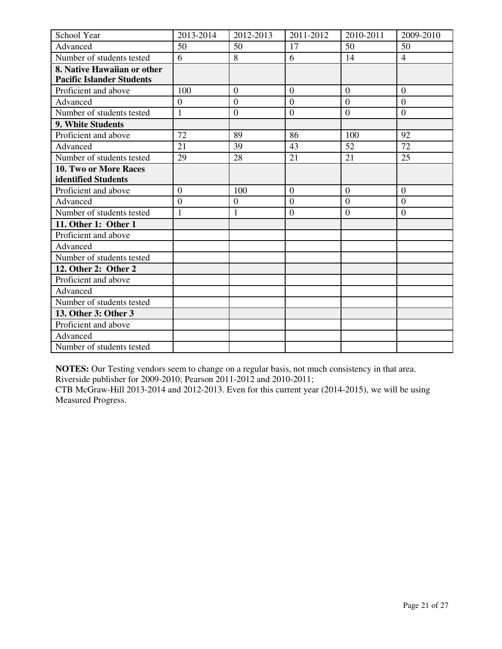| School Year                      | 2013-2014        | 2012-2013        | 2011-2012      | 2010-2011        | 2009-2010      |
|----------------------------------|------------------|------------------|----------------|------------------|----------------|
| Advanced                         | 50               | 50               | 17             | 50               | 50             |
| Number of students tested        | 6                | 8                | 6              | 14               | $\overline{4}$ |
| 8. Native Hawaiian or other      |                  |                  |                |                  |                |
| <b>Pacific Islander Students</b> |                  |                  |                |                  |                |
| Proficient and above             | 100              | $\theta$         | $\overline{0}$ | $\overline{0}$   | $\mathbf{0}$   |
| Advanced                         | $\mathbf{0}$     | $\overline{0}$   | $\theta$       | $\overline{0}$   | $\theta$       |
| Number of students tested        | 1                | $\boldsymbol{0}$ | $\overline{0}$ | $\theta$         | $\overline{0}$ |
| 9. White Students                |                  |                  |                |                  |                |
| Proficient and above             | 72               | 89               | 86             | 100              | 92             |
| Advanced                         | 21               | 39               | 43             | 52               | 72             |
| Number of students tested        | 29               | 28               | 21             | 21               | 25             |
| 10. Two or More Races            |                  |                  |                |                  |                |
| identified Students              |                  |                  |                |                  |                |
| Proficient and above             | $\overline{0}$   | 100              | $\overline{0}$ | $\boldsymbol{0}$ | $\mathbf{0}$   |
| Advanced                         | $\boldsymbol{0}$ | $\overline{0}$   | $\overline{0}$ | $\overline{0}$   | $\mathbf{0}$   |
| Number of students tested        | 1                | $\mathbf{1}$     | $\overline{0}$ | $\overline{0}$   | $\overline{0}$ |
| 11. Other 1: Other 1             |                  |                  |                |                  |                |
| Proficient and above             |                  |                  |                |                  |                |
| Advanced                         |                  |                  |                |                  |                |
| Number of students tested        |                  |                  |                |                  |                |
| 12. Other 2: Other 2             |                  |                  |                |                  |                |
| Proficient and above             |                  |                  |                |                  |                |
| Advanced                         |                  |                  |                |                  |                |
| Number of students tested        |                  |                  |                |                  |                |
| 13. Other 3: Other 3             |                  |                  |                |                  |                |
| Proficient and above             |                  |                  |                |                  |                |
| Advanced                         |                  |                  |                |                  |                |
| Number of students tested        |                  |                  |                |                  |                |

**NOTES:** Our Testing vendors seem to change on a regular basis, not much consistency in that area.

Riverside publisher for 2009-2010; Pearson 2011-2012 and 2010-2011;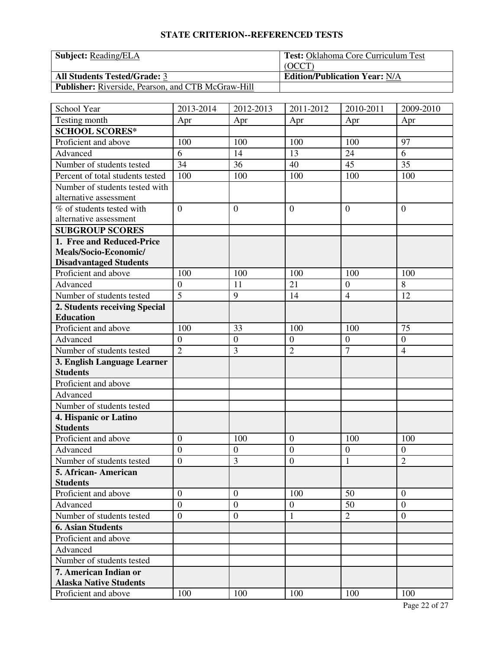| <b>Subject:</b> Reading/ELA                               | <b>Test: Oklahoma Core Curriculum Test</b> |
|-----------------------------------------------------------|--------------------------------------------|
|                                                           | (OCCT)                                     |
| <b>All Students Tested/Grade: 3</b>                       | <b>Edition/Publication Year: N/A</b>       |
| <b>Publisher:</b> Riverside, Pearson, and CTB McGraw-Hill |                                            |

| School Year                                            | 2013-2014        | 2012-2013        | 2011-2012                        | 2010-2011        | 2009-2010        |
|--------------------------------------------------------|------------------|------------------|----------------------------------|------------------|------------------|
| Testing month                                          | Apr              | Apr              | Apr                              | Apr              | Apr              |
| <b>SCHOOL SCORES*</b>                                  |                  |                  |                                  |                  |                  |
| Proficient and above                                   | 100              | 100              | 100                              | 100              | 97               |
| Advanced                                               | 6                | 14               | 13                               | 24               | 6                |
| Number of students tested                              | 34               | 36               | 40                               | 45               | 35               |
| Percent of total students tested                       | 100              | 100              | 100                              | 100              | 100              |
| Number of students tested with                         |                  |                  |                                  |                  |                  |
| alternative assessment                                 |                  |                  |                                  |                  |                  |
| % of students tested with                              | $\overline{0}$   | $\mathbf{0}$     | $\overline{0}$                   | $\overline{0}$   | $\overline{0}$   |
| alternative assessment                                 |                  |                  |                                  |                  |                  |
| <b>SUBGROUP SCORES</b>                                 |                  |                  |                                  |                  |                  |
| 1. Free and Reduced-Price                              |                  |                  |                                  |                  |                  |
| Meals/Socio-Economic/                                  |                  |                  |                                  |                  |                  |
| <b>Disadvantaged Students</b>                          |                  |                  |                                  |                  |                  |
| Proficient and above                                   | 100              | 100              | 100                              | 100              | 100              |
| Advanced                                               | $\boldsymbol{0}$ | 11               | 21                               | $\boldsymbol{0}$ | 8                |
| Number of students tested                              | $\overline{5}$   | 9                | 14                               | $\overline{4}$   | 12               |
| 2. Students receiving Special                          |                  |                  |                                  |                  |                  |
| <b>Education</b>                                       |                  |                  |                                  |                  |                  |
| Proficient and above                                   | 100              | 33               | 100                              | 100              | 75               |
| Advanced                                               | $\boldsymbol{0}$ | $\overline{0}$   | $\boldsymbol{0}$                 | $\boldsymbol{0}$ | $\boldsymbol{0}$ |
| Number of students tested                              | $\overline{2}$   | 3                | $\overline{2}$                   | $\overline{7}$   | $\overline{4}$   |
| 3. English Language Learner                            |                  |                  |                                  |                  |                  |
| <b>Students</b>                                        |                  |                  |                                  |                  |                  |
| Proficient and above                                   |                  |                  |                                  |                  |                  |
| Advanced                                               |                  |                  |                                  |                  |                  |
| Number of students tested                              |                  |                  |                                  |                  |                  |
| 4. Hispanic or Latino                                  |                  |                  |                                  |                  |                  |
| <b>Students</b>                                        |                  |                  |                                  |                  |                  |
| Proficient and above                                   | $\boldsymbol{0}$ | 100              | $\boldsymbol{0}$                 | 100              | 100              |
| Advanced                                               | $\mathbf{0}$     | $\boldsymbol{0}$ | $\overline{0}$                   | $\boldsymbol{0}$ | $\boldsymbol{0}$ |
| Number of students tested                              | $\overline{0}$   | 3                | $\overline{0}$                   | $\mathbf{1}$     | $\overline{2}$   |
| 5. African- American<br><b>Students</b>                |                  |                  |                                  |                  |                  |
| Proficient and above                                   | $\overline{0}$   | $\mathbf{0}$     | 100                              | 50               | $\mathbf{0}$     |
|                                                        | $\overline{0}$   | $\mathbf{0}$     |                                  | 50               | $\overline{0}$   |
| Advanced                                               | $\overline{0}$   | $\boldsymbol{0}$ | $\boldsymbol{0}$<br>$\mathbf{1}$ | $\overline{2}$   | $\boldsymbol{0}$ |
| Number of students tested                              |                  |                  |                                  |                  |                  |
| <b>6. Asian Students</b>                               |                  |                  |                                  |                  |                  |
| Proficient and above                                   |                  |                  |                                  |                  |                  |
| Advanced                                               |                  |                  |                                  |                  |                  |
| Number of students tested                              |                  |                  |                                  |                  |                  |
| 7. American Indian or<br><b>Alaska Native Students</b> |                  |                  |                                  |                  |                  |
| Proficient and above                                   | 100              | 100              | 100                              | 100              | 100              |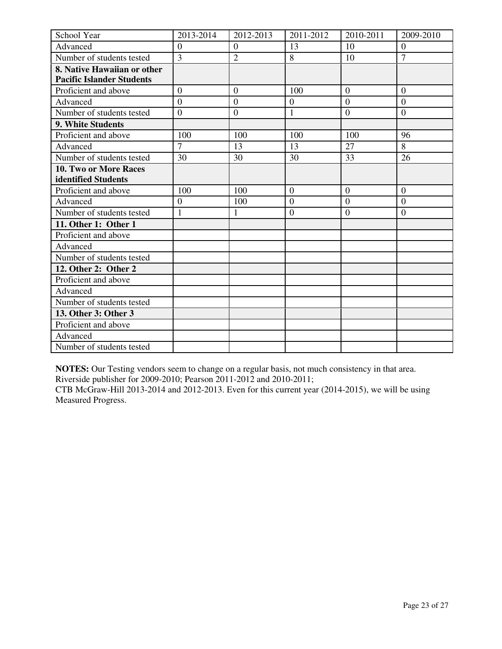| School Year                      | 2013-2014      | 2012-2013        | 2011-2012      | 2010-2011      | 2009-2010      |
|----------------------------------|----------------|------------------|----------------|----------------|----------------|
| Advanced                         | $\overline{0}$ | $\theta$         | 13             | 10             | $\mathbf{0}$   |
| Number of students tested        | $\overline{3}$ | $\overline{2}$   | 8              | 10             | $\overline{7}$ |
| 8. Native Hawaiian or other      |                |                  |                |                |                |
| <b>Pacific Islander Students</b> |                |                  |                |                |                |
| Proficient and above             | $\mathbf{0}$   | $\overline{0}$   | 100            | $\overline{0}$ | $\mathbf{0}$   |
| Advanced                         | $\overline{0}$ | $\boldsymbol{0}$ | $\overline{0}$ | $\overline{0}$ | $\overline{0}$ |
| Number of students tested        | $\overline{0}$ | $\mathbf{0}$     | $\mathbf{1}$   | $\overline{0}$ | $\overline{0}$ |
| 9. White Students                |                |                  |                |                |                |
| Proficient and above             | 100            | 100              | 100            | 100            | 96             |
| Advanced                         | $\overline{7}$ | 13               | 13             | 27             | 8              |
| Number of students tested        | 30             | 30               | 30             | 33             | 26             |
| 10. Two or More Races            |                |                  |                |                |                |
| identified Students              |                |                  |                |                |                |
| Proficient and above             | 100            | 100              | $\Omega$       | $\theta$       | $\Omega$       |
| Advanced                         | $\mathbf{0}$   | 100              | $\Omega$       | $\Omega$       | $\Omega$       |
| Number of students tested        | 1              | 1                | $\overline{0}$ | $\overline{0}$ | $\overline{0}$ |
| 11. Other 1: Other 1             |                |                  |                |                |                |
| Proficient and above             |                |                  |                |                |                |
| Advanced                         |                |                  |                |                |                |
| Number of students tested        |                |                  |                |                |                |
| 12. Other 2: Other 2             |                |                  |                |                |                |
| Proficient and above             |                |                  |                |                |                |
| Advanced                         |                |                  |                |                |                |
| Number of students tested        |                |                  |                |                |                |
| 13. Other 3: Other 3             |                |                  |                |                |                |
| Proficient and above             |                |                  |                |                |                |
| Advanced                         |                |                  |                |                |                |
| Number of students tested        |                |                  |                |                |                |

**NOTES:** Our Testing vendors seem to change on a regular basis, not much consistency in that area.

Riverside publisher for 2009-2010; Pearson 2011-2012 and 2010-2011;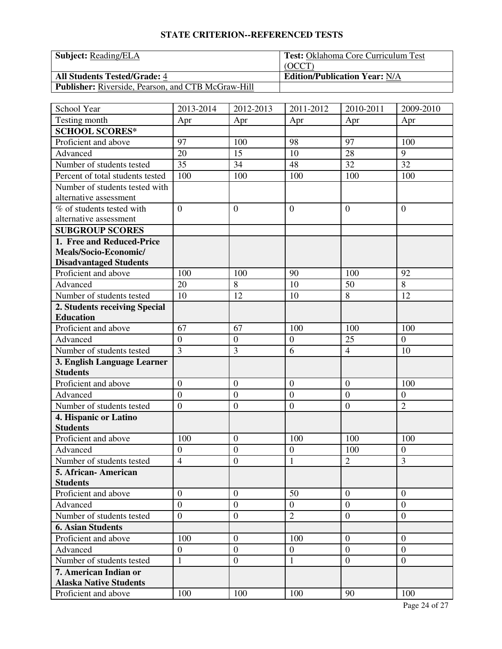| <b>Subject:</b> Reading/ELA                               | <b>Test: Oklahoma Core Curriculum Test</b> |
|-----------------------------------------------------------|--------------------------------------------|
|                                                           | (OCCT)                                     |
| <b>All Students Tested/Grade: 4</b>                       | <b>Edition/Publication Year: N/A</b>       |
| <b>Publisher:</b> Riverside, Pearson, and CTB McGraw-Hill |                                            |

| School Year                                            | 2013-2014        | 2012-2013        | 2011-2012        | 2010-2011        | 2009-2010      |
|--------------------------------------------------------|------------------|------------------|------------------|------------------|----------------|
| Testing month                                          | Apr              | Apr              | Apr              | Apr              | Apr            |
| <b>SCHOOL SCORES*</b>                                  |                  |                  |                  |                  |                |
| Proficient and above                                   | 97               | 100              | 98               | 97               | 100            |
| Advanced                                               | 20               | 15               | 10               | 28               | 9              |
| Number of students tested                              | 35               | 34               | 48               | 32               | 32             |
| Percent of total students tested                       | 100              | 100              | 100              | 100              | 100            |
| Number of students tested with                         |                  |                  |                  |                  |                |
| alternative assessment                                 |                  |                  |                  |                  |                |
| % of students tested with                              | $\overline{0}$   | $\overline{0}$   | $\overline{0}$   | $\overline{0}$   | $\overline{0}$ |
| alternative assessment                                 |                  |                  |                  |                  |                |
| <b>SUBGROUP SCORES</b>                                 |                  |                  |                  |                  |                |
| 1. Free and Reduced-Price                              |                  |                  |                  |                  |                |
| Meals/Socio-Economic/                                  |                  |                  |                  |                  |                |
| <b>Disadvantaged Students</b>                          |                  |                  |                  |                  |                |
| Proficient and above                                   | 100              | 100              | 90               | 100              | 92             |
| Advanced                                               | 20               | 8                | 10               | 50               | $\overline{8}$ |
| Number of students tested                              | 10               | 12               | 10               | 8                | 12             |
| 2. Students receiving Special                          |                  |                  |                  |                  |                |
| <b>Education</b>                                       |                  |                  |                  |                  |                |
| Proficient and above                                   | 67               | 67               | 100              | 100              | 100            |
| Advanced                                               | $\boldsymbol{0}$ | $\boldsymbol{0}$ | $\boldsymbol{0}$ | 25               | $\overline{0}$ |
| Number of students tested                              | $\overline{3}$   | 3                | 6                | $\overline{4}$   | 10             |
| 3. English Language Learner                            |                  |                  |                  |                  |                |
| <b>Students</b>                                        |                  |                  |                  |                  |                |
| Proficient and above                                   | $\overline{0}$   | $\boldsymbol{0}$ | $\mathbf{0}$     | $\mathbf{0}$     | 100            |
| Advanced                                               | $\overline{0}$   | $\overline{0}$   | $\boldsymbol{0}$ | $\mathbf{0}$     | $\mathbf{0}$   |
| Number of students tested                              | $\overline{0}$   | $\boldsymbol{0}$ | $\boldsymbol{0}$ | $\boldsymbol{0}$ | $\overline{2}$ |
| 4. Hispanic or Latino                                  |                  |                  |                  |                  |                |
| <b>Students</b>                                        |                  |                  |                  |                  |                |
| Proficient and above                                   | 100              | $\overline{0}$   | 100              | 100              | 100            |
| Advanced                                               | $\boldsymbol{0}$ | $\mathbf{0}$     | $\boldsymbol{0}$ | 100              | $\mathbf{0}$   |
| Number of students tested                              | $\overline{4}$   | $\overline{0}$   | $\mathbf{1}$     | $\overline{2}$   | 3              |
| 5. African- American                                   |                  |                  |                  |                  |                |
| <b>Students</b>                                        |                  |                  |                  |                  |                |
| Proficient and above                                   | $\overline{0}$   | $\mathbf{0}$     | 50               | $\overline{0}$   | $\mathbf{0}$   |
| Advanced                                               | $\overline{0}$   | $\overline{0}$   | $\mathbf{0}$     | $\overline{0}$   | $\mathbf{0}$   |
| Number of students tested                              | $\boldsymbol{0}$ | $\overline{0}$   | $\overline{2}$   | $\boldsymbol{0}$ | $\overline{0}$ |
| <b>6. Asian Students</b>                               |                  |                  |                  |                  |                |
| Proficient and above                                   | 100              | $\overline{0}$   | 100              | $\overline{0}$   | $\overline{0}$ |
| Advanced                                               | $\boldsymbol{0}$ | $\boldsymbol{0}$ | $\overline{0}$   | $\overline{0}$   | $\overline{0}$ |
| Number of students tested                              | $\mathbf{1}$     | $\overline{0}$   | $\mathbf{1}$     | $\mathbf{0}$     | $\overline{0}$ |
| 7. American Indian or<br><b>Alaska Native Students</b> |                  |                  |                  |                  |                |
| Proficient and above                                   | 100              | 100              | 100              | 90               | 100            |
|                                                        |                  |                  |                  |                  |                |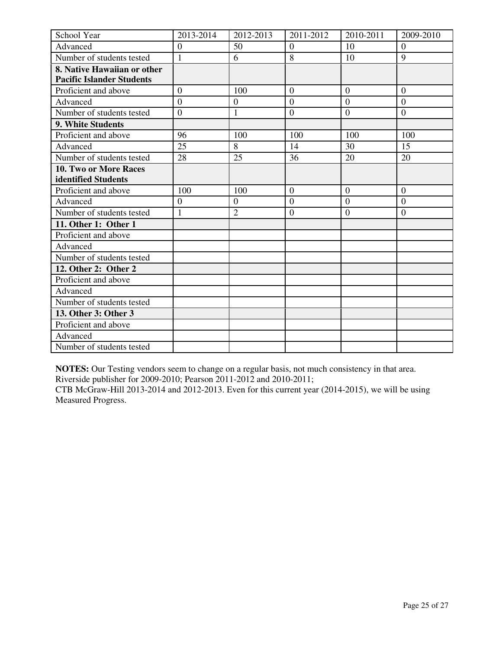| School Year                      | 2013-2014      | 2012-2013        | 2011-2012        | 2010-2011      | 2009-2010      |
|----------------------------------|----------------|------------------|------------------|----------------|----------------|
| Advanced                         | $\overline{0}$ | 50               | $\overline{0}$   | 10             | $\overline{0}$ |
| Number of students tested        | $\mathbf{1}$   | 6                | 8                | 10             | 9              |
| 8. Native Hawaiian or other      |                |                  |                  |                |                |
| <b>Pacific Islander Students</b> |                |                  |                  |                |                |
| Proficient and above             | $\overline{0}$ | 100              | $\overline{0}$   | $\overline{0}$ | $\overline{0}$ |
| Advanced                         | $\overline{0}$ | $\boldsymbol{0}$ | $\overline{0}$   | $\overline{0}$ | $\overline{0}$ |
| Number of students tested        | $\overline{0}$ | $\mathbf{1}$     | $\boldsymbol{0}$ | $\overline{0}$ | $\overline{0}$ |
| 9. White Students                |                |                  |                  |                |                |
| Proficient and above             | 96             | 100              | 100              | 100            | 100            |
| Advanced                         | 25             | 8                | 14               | 30             | 15             |
| Number of students tested        | 28             | 25               | 36               | 20             | 20             |
| 10. Two or More Races            |                |                  |                  |                |                |
| identified Students              |                |                  |                  |                |                |
| Proficient and above             | 100            | 100              | $\Omega$         | $\theta$       | $\Omega$       |
| Advanced                         | $\overline{0}$ | $\theta$         | $\Omega$         | $\Omega$       | $\Omega$       |
| Number of students tested        | 1              | $\overline{2}$   | $\overline{0}$   | $\overline{0}$ | $\overline{0}$ |
| 11. Other 1: Other 1             |                |                  |                  |                |                |
| Proficient and above             |                |                  |                  |                |                |
| Advanced                         |                |                  |                  |                |                |
| Number of students tested        |                |                  |                  |                |                |
| 12. Other 2: Other 2             |                |                  |                  |                |                |
| Proficient and above             |                |                  |                  |                |                |
| Advanced                         |                |                  |                  |                |                |
| Number of students tested        |                |                  |                  |                |                |
| 13. Other 3: Other 3             |                |                  |                  |                |                |
| Proficient and above             |                |                  |                  |                |                |
| Advanced                         |                |                  |                  |                |                |
| Number of students tested        |                |                  |                  |                |                |

**NOTES:** Our Testing vendors seem to change on a regular basis, not much consistency in that area.

Riverside publisher for 2009-2010; Pearson 2011-2012 and 2010-2011;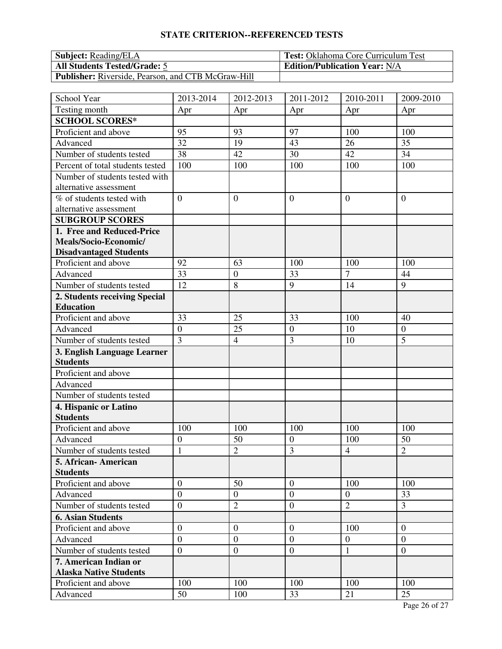| <b>Subject:</b> Reading/ELA                               | <b>Test:</b> Oklahoma Core Curriculum Test |
|-----------------------------------------------------------|--------------------------------------------|
| <b>All Students Tested/Grade: 5</b>                       | <b>Edition/Publication Year: N/A</b>       |
| <b>Publisher:</b> Riverside, Pearson, and CTB McGraw-Hill |                                            |

| School Year                      | 2013-2014        | 2012-2013        | 2011-2012        | 2010-2011      | 2009-2010        |
|----------------------------------|------------------|------------------|------------------|----------------|------------------|
| Testing month                    | Apr              | Apr              | Apr              | Apr            | Apr              |
| <b>SCHOOL SCORES*</b>            |                  |                  |                  |                |                  |
| Proficient and above             | 95               | 93               | 97               | 100            | 100              |
| Advanced                         | 32               | 19               | 43               | 26             | 35               |
| Number of students tested        | 38               | 42               | 30               | 42             | 34               |
| Percent of total students tested | 100              | 100              | 100              | 100            | 100              |
| Number of students tested with   |                  |                  |                  |                |                  |
| alternative assessment           |                  |                  |                  |                |                  |
| % of students tested with        | $\overline{0}$   | $\overline{0}$   | $\overline{0}$   | $\overline{0}$ | $\theta$         |
| alternative assessment           |                  |                  |                  |                |                  |
| <b>SUBGROUP SCORES</b>           |                  |                  |                  |                |                  |
| 1. Free and Reduced-Price        |                  |                  |                  |                |                  |
| Meals/Socio-Economic/            |                  |                  |                  |                |                  |
| <b>Disadvantaged Students</b>    |                  |                  |                  |                |                  |
| Proficient and above             | 92               | 63               | 100              | 100            | 100              |
| Advanced                         | 33               | $\boldsymbol{0}$ | 33               | $\overline{7}$ | 44               |
| Number of students tested        | 12               | 8                | 9                | 14             | 9                |
| 2. Students receiving Special    |                  |                  |                  |                |                  |
| <b>Education</b>                 |                  |                  |                  |                |                  |
| Proficient and above             | 33               | 25               | 33               | 100            | 40               |
| Advanced                         | $\boldsymbol{0}$ | 25               | $\boldsymbol{0}$ | 10             | $\boldsymbol{0}$ |
| Number of students tested        | $\overline{3}$   | $\overline{4}$   | 3                | 10             | 5                |
| 3. English Language Learner      |                  |                  |                  |                |                  |
| <b>Students</b>                  |                  |                  |                  |                |                  |
| Proficient and above             |                  |                  |                  |                |                  |
| Advanced                         |                  |                  |                  |                |                  |
| Number of students tested        |                  |                  |                  |                |                  |
| 4. Hispanic or Latino            |                  |                  |                  |                |                  |
| <b>Students</b>                  |                  |                  |                  |                |                  |
| Proficient and above             | 100              | 100              | 100              | 100            | 100              |
| Advanced                         | $\mathbf{0}$     | 50               | $\boldsymbol{0}$ | 100            | 50               |
| Number of students tested        | $\mathbf{1}$     | $\overline{2}$   | $\overline{3}$   | $\overline{4}$ | $\overline{2}$   |
| 5. African-American              |                  |                  |                  |                |                  |
| <b>Students</b>                  |                  |                  |                  |                |                  |
| Proficient and above             | $\overline{0}$   | 50               | $\mathbf{0}$     | 100            | 100              |
| Advanced                         | $\overline{0}$   | $\boldsymbol{0}$ | $\overline{0}$   | $\overline{0}$ | 33               |
| Number of students tested        | $\overline{0}$   | $\overline{2}$   | $\boldsymbol{0}$ | $\overline{2}$ | $\overline{3}$   |
| <b>6. Asian Students</b>         |                  |                  |                  |                |                  |
| Proficient and above             | $\boldsymbol{0}$ | $\boldsymbol{0}$ | $\overline{0}$   | 100            | $\overline{0}$   |
| Advanced                         | $\overline{0}$   | $\boldsymbol{0}$ | $\overline{0}$   | $\overline{0}$ | $\theta$         |
| Number of students tested        | $\overline{0}$   | $\overline{0}$   | $\boldsymbol{0}$ | $\mathbf{1}$   | $\mathbf{0}$     |
| 7. American Indian or            |                  |                  |                  |                |                  |
| <b>Alaska Native Students</b>    |                  |                  |                  |                |                  |
| Proficient and above             | 100              | 100              | 100              | 100            | 100              |
| Advanced                         | 50               | 100              | 33               | 21             | 25               |